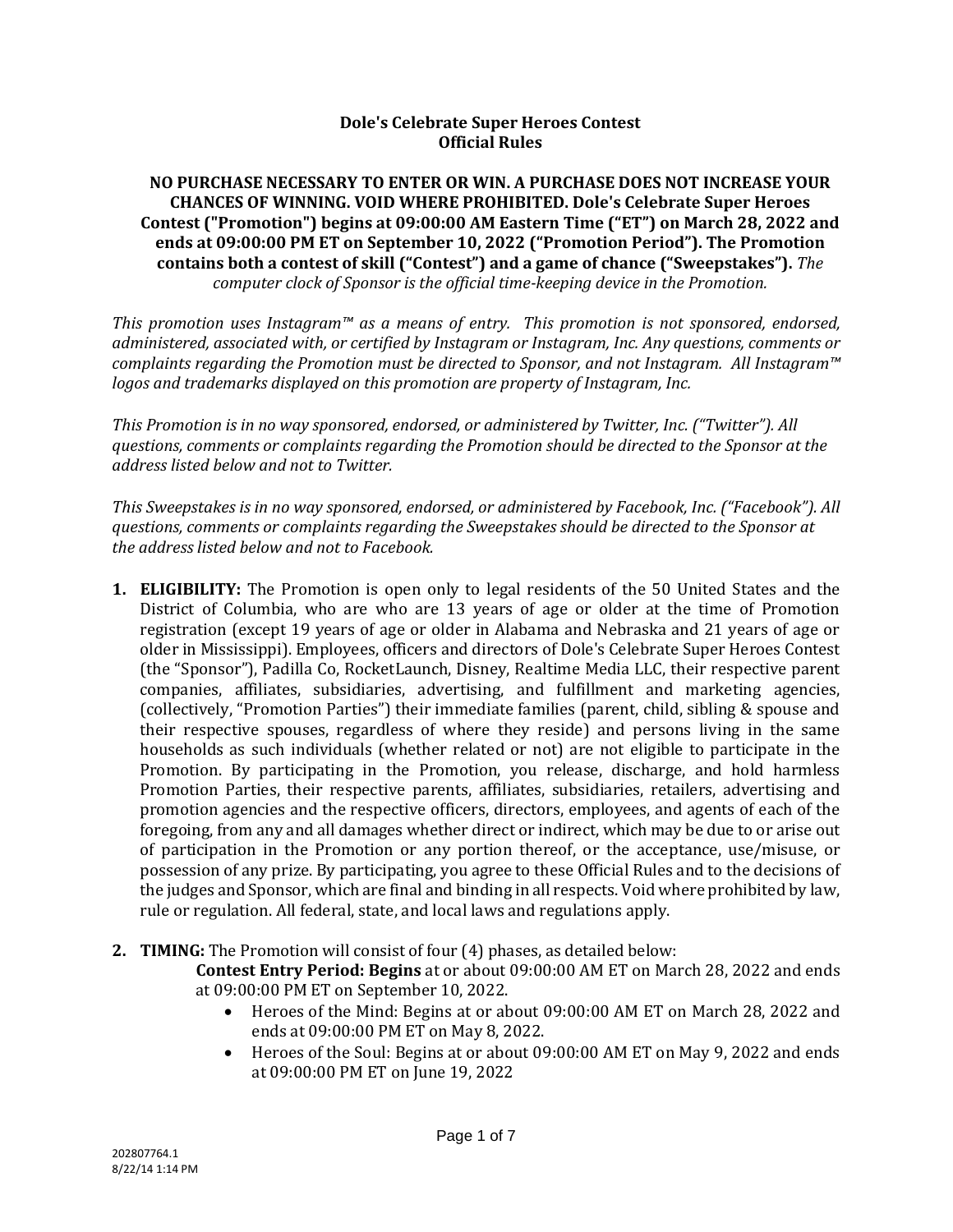## **Dole's Celebrate Super Heroes Contest Official Rules**

### **NO PURCHASE NECESSARY TO ENTER OR WIN. A PURCHASE DOES NOT INCREASE YOUR CHANCES OF WINNING. VOID WHERE PROHIBITED. Dole's Celebrate Super Heroes Contest ("Promotion") begins at 09:00:00 AM Eastern Time ("ET") on March 28, 2022 and ends at 09:00:00 PM ET on September 10, 2022 ("Promotion Period"). The Promotion contains both a contest of skill ("Contest") and a game of chance ("Sweepstakes").** *The computer clock of Sponsor is the official time-keeping device in the Promotion.*

*This promotion uses Instagram™ as a means of entry. This promotion is not sponsored, endorsed, administered, associated with, or certified by Instagram or Instagram, Inc. Any questions, comments or complaints regarding the Promotion must be directed to Sponsor, and not Instagram. All Instagram™ logos and trademarks displayed on this promotion are property of Instagram, Inc.*

*This Promotion is in no way sponsored, endorsed, or administered by Twitter, Inc. ("Twitter"). All questions, comments or complaints regarding the Promotion should be directed to the Sponsor at the address listed below and not to Twitter.*

*This Sweepstakes is in no way sponsored, endorsed, or administered by Facebook, Inc. ("Facebook"). All questions, comments or complaints regarding the Sweepstakes should be directed to the Sponsor at the address listed below and not to Facebook.*

- **1. ELIGIBILITY:** The Promotion is open only to legal residents of the 50 United States and the District of Columbia, who are who are 13 years of age or older at the time of Promotion registration (except 19 years of age or older in Alabama and Nebraska and 21 years of age or older in Mississippi). Employees, officers and directors of Dole's Celebrate Super Heroes Contest (the "Sponsor"), Padilla Co, RocketLaunch, Disney, Realtime Media LLC, their respective parent companies, affiliates, subsidiaries, advertising, and fulfillment and marketing agencies, (collectively, "Promotion Parties") their immediate families (parent, child, sibling & spouse and their respective spouses, regardless of where they reside) and persons living in the same households as such individuals (whether related or not) are not eligible to participate in the Promotion. By participating in the Promotion, you release, discharge, and hold harmless Promotion Parties, their respective parents, affiliates, subsidiaries, retailers, advertising and promotion agencies and the respective officers, directors, employees, and agents of each of the foregoing, from any and all damages whether direct or indirect, which may be due to or arise out of participation in the Promotion or any portion thereof, or the acceptance, use/misuse, or possession of any prize. By participating, you agree to these Official Rules and to the decisions of the judges and Sponsor, which are final and binding in all respects. Void where prohibited by law, rule or regulation. All federal, state, and local laws and regulations apply.
- **2. TIMING:** The Promotion will consist of four (4) phases, as detailed below:

**Contest Entry Period: Begins** at or about 09:00:00 AM ET on March 28, 2022 and ends at 09:00:00 PM ET on September 10, 2022.

- Heroes of the Mind: Begins at or about 09:00:00 AM ET on March 28, 2022 and ends at 09:00:00 PM ET on May 8, 2022.
- Heroes of the Soul: Begins at or about 09:00:00 AM ET on May 9, 2022 and ends at 09:00:00 PM ET on June 19, 2022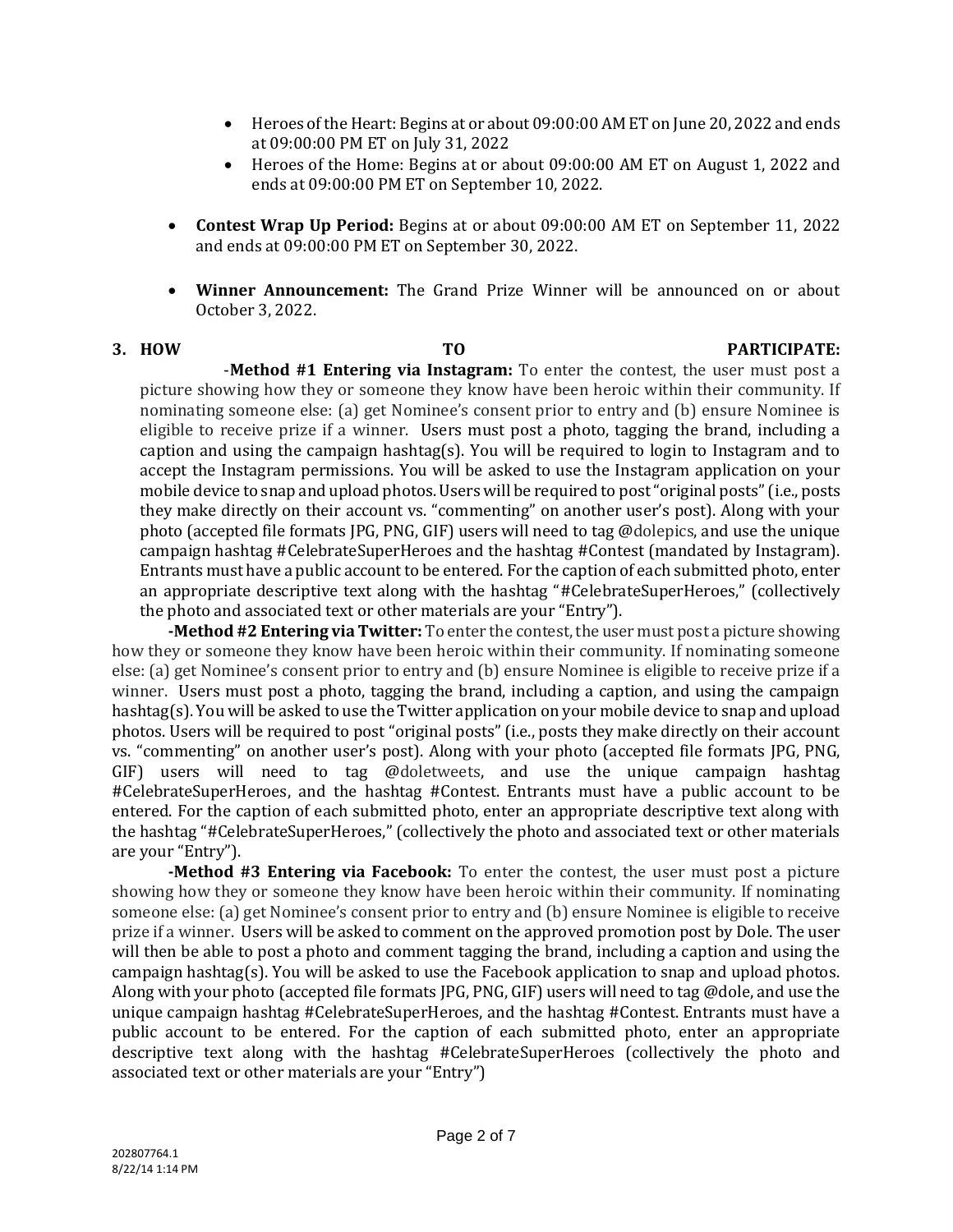- Heroes of the Heart: Begins at or about 09:00:00 AM ET on June 20, 2022 and ends at 09:00:00 PM ET on July 31, 2022
- Heroes of the Home: Begins at or about 09:00:00 AM ET on August 1, 2022 and ends at 09:00:00 PM ET on September 10, 2022.
- **Contest Wrap Up Period:** Begins at or about 09:00:00 AM ET on September 11, 2022 and ends at 09:00:00 PM ET on September 30, 2022.
- **Winner Announcement:** The Grand Prize Winner will be announced on or about October 3, 2022.

#### **3. HOW TO PARTICIPATE:**  -**Method #1 Entering via Instagram:** To enter the contest, the user must post a

picture showing how they or someone they know have been heroic within their community. If nominating someone else: (a) get Nominee's consent prior to entry and (b) ensure Nominee is eligible to receive prize if a winner. Users must post a photo, tagging the brand, including a caption and using the campaign hashtag(s). You will be required to login to Instagram and to accept the Instagram permissions. You will be asked to use the Instagram application on your mobile device to snap and upload photos. Users will be required to post "original posts" (i.e., posts they make directly on their account vs. "commenting" on another user's post). Along with your photo (accepted file formats JPG, PNG, GIF) users will need to tag @dolepics, and use the unique campaign hashtag #CelebrateSuperHeroes and the hashtag #Contest (mandated by Instagram). Entrants must have a public account to be entered. For the caption of each submitted photo, enter an appropriate descriptive text along with the hashtag "#CelebrateSuperHeroes," (collectively the photo and associated text or other materials are your "Entry").

**-Method #2 Entering via Twitter:** To enter the contest, the user must post a picture showing how they or someone they know have been heroic within their community. If nominating someone else: (a) get Nominee's consent prior to entry and (b) ensure Nominee is eligible to receive prize if a winner. Users must post a photo, tagging the brand, including a caption, and using the campaign hashtag(s). You will be asked to use the Twitter application on your mobile device to snap and upload photos. Users will be required to post "original posts" (i.e., posts they make directly on their account vs. "commenting" on another user's post). Along with your photo (accepted file formats JPG, PNG, GIF) users will need to tag @doletweets, and use the unique campaign hashtag #CelebrateSuperHeroes, and the hashtag #Contest. Entrants must have a public account to be entered. For the caption of each submitted photo, enter an appropriate descriptive text along with the hashtag "#CelebrateSuperHeroes," (collectively the photo and associated text or other materials are your "Entry").

**-Method #3 Entering via Facebook:** To enter the contest, the user must post a picture showing how they or someone they know have been heroic within their community. If nominating someone else: (a) get Nominee's consent prior to entry and (b) ensure Nominee is eligible to receive prize if a winner. Users will be asked to comment on the approved promotion post by Dole. The user will then be able to post a photo and comment tagging the brand, including a caption and using the campaign hashtag(s). You will be asked to use the Facebook application to snap and upload photos. Along with your photo (accepted file formats JPG, PNG, GIF) users will need to tag @dole, and use the unique campaign hashtag #CelebrateSuperHeroes, and the hashtag #Contest. Entrants must have a public account to be entered. For the caption of each submitted photo, enter an appropriate descriptive text along with the hashtag #CelebrateSuperHeroes (collectively the photo and associated text or other materials are your "Entry")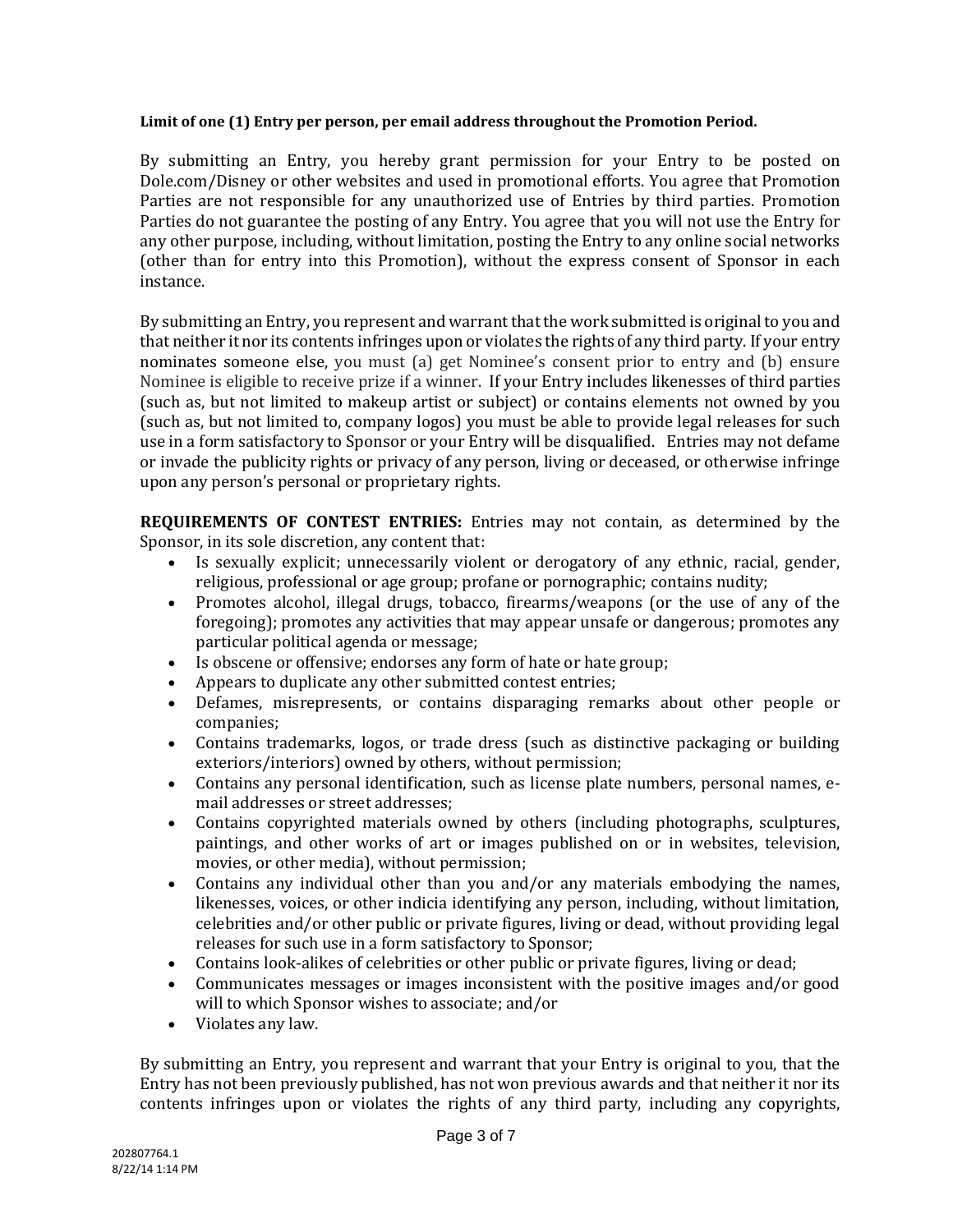#### **Limit of one (1) Entry per person, per email address throughout the Promotion Period.**

By submitting an Entry, you hereby grant permission for your Entry to be posted on Dole.com/Disney or other websites and used in promotional efforts. You agree that Promotion Parties are not responsible for any unauthorized use of Entries by third parties. Promotion Parties do not guarantee the posting of any Entry. You agree that you will not use the Entry for any other purpose, including, without limitation, posting the Entry to any online social networks (other than for entry into this Promotion), without the express consent of Sponsor in each instance.

By submitting an Entry, you represent and warrant that the work submitted is original to you and that neither it nor its contents infringes upon or violates the rights of any third party. If your entry nominates someone else, you must (a) get Nominee's consent prior to entry and (b) ensure Nominee is eligible to receive prize if a winner. If your Entry includes likenesses of third parties (such as, but not limited to makeup artist or subject) or contains elements not owned by you (such as, but not limited to, company logos) you must be able to provide legal releases for such use in a form satisfactory to Sponsor or your Entry will be disqualified. Entries may not defame or invade the publicity rights or privacy of any person, living or deceased, or otherwise infringe upon any person's personal or proprietary rights.

**REQUIREMENTS OF CONTEST ENTRIES:** Entries may not contain, as determined by the Sponsor, in its sole discretion, any content that:

- Is sexually explicit; unnecessarily violent or derogatory of any ethnic, racial, gender, religious, professional or age group; profane or pornographic; contains nudity;
- Promotes alcohol, illegal drugs, tobacco, firearms/weapons (or the use of any of the foregoing); promotes any activities that may appear unsafe or dangerous; promotes any particular political agenda or message;
- Is obscene or offensive; endorses any form of hate or hate group;
- Appears to duplicate any other submitted contest entries;
- Defames, misrepresents, or contains disparaging remarks about other people or companies;
- Contains trademarks, logos, or trade dress (such as distinctive packaging or building exteriors/interiors) owned by others, without permission;
- Contains any personal identification, such as license plate numbers, personal names, email addresses or street addresses;
- Contains copyrighted materials owned by others (including photographs, sculptures, paintings, and other works of art or images published on or in websites, television, movies, or other media), without permission;
- Contains any individual other than you and/or any materials embodying the names, likenesses, voices, or other indicia identifying any person, including, without limitation, celebrities and/or other public or private figures, living or dead, without providing legal releases for such use in a form satisfactory to Sponsor;
- Contains look-alikes of celebrities or other public or private figures, living or dead;
- Communicates messages or images inconsistent with the positive images and/or good will to which Sponsor wishes to associate; and/or
- Violates any law.

By submitting an Entry, you represent and warrant that your Entry is original to you, that the Entry has not been previously published, has not won previous awards and that neither it nor its contents infringes upon or violates the rights of any third party, including any copyrights,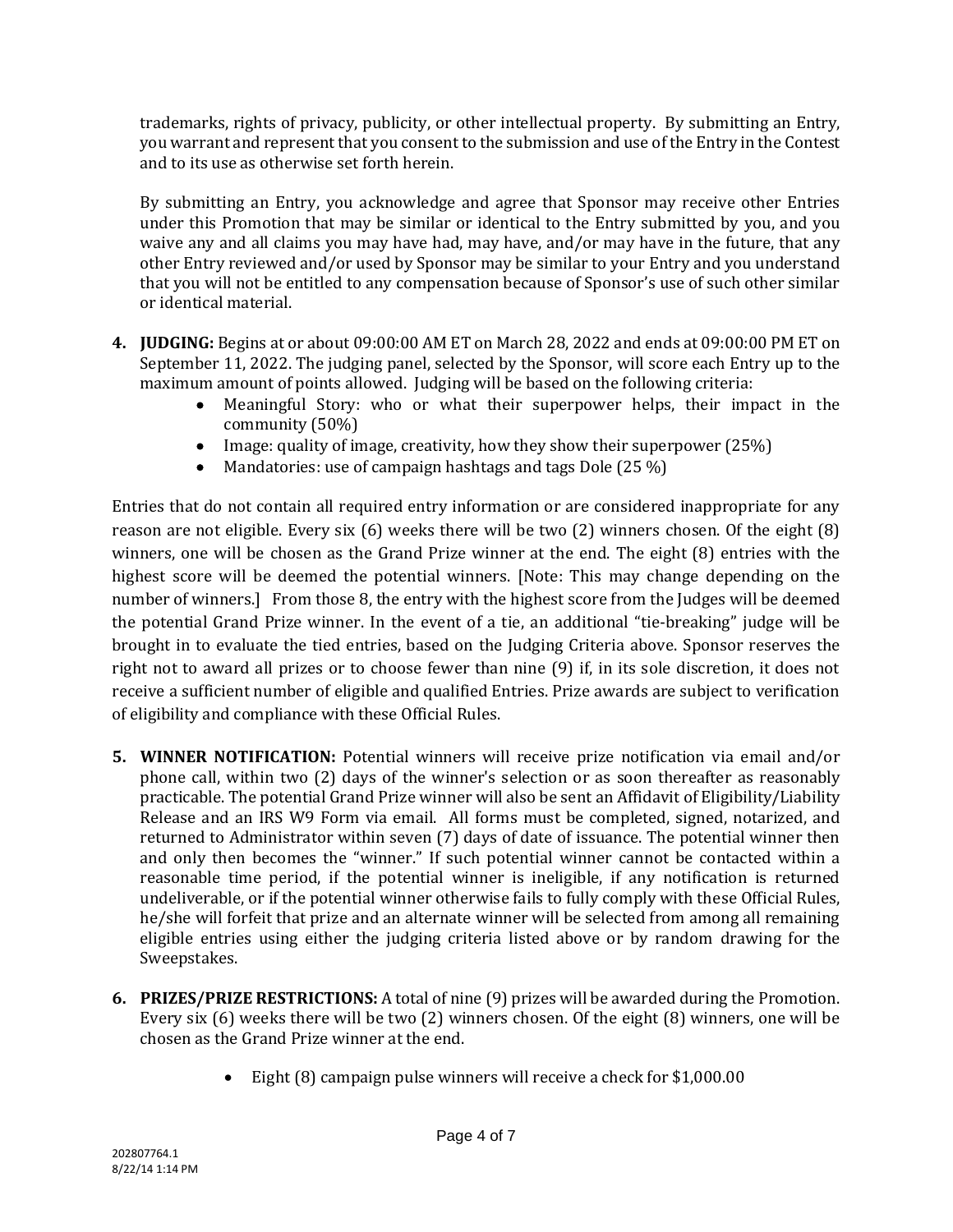trademarks, rights of privacy, publicity, or other intellectual property. By submitting an Entry, you warrant and represent that you consent to the submission and use of the Entry in the Contest and to its use as otherwise set forth herein.

By submitting an Entry, you acknowledge and agree that Sponsor may receive other Entries under this Promotion that may be similar or identical to the Entry submitted by you, and you waive any and all claims you may have had, may have, and/or may have in the future, that any other Entry reviewed and/or used by Sponsor may be similar to your Entry and you understand that you will not be entitled to any compensation because of Sponsor's use of such other similar or identical material.

- **4. JUDGING:** Begins at or about 09:00:00 AM ET on March 28, 2022 and ends at 09:00:00 PM ET on September 11, 2022. The judging panel, selected by the Sponsor, will score each Entry up to the maximum amount of points allowed. Judging will be based on the following criteria:
	- Meaningful Story: who or what their superpower helps, their impact in the community (50%)
	- Image: quality of image, creativity, how they show their superpower (25%)
	- Mandatories: use of campaign hashtags and tags Dole (25 %)

Entries that do not contain all required entry information or are considered inappropriate for any reason are not eligible. Every six (6) weeks there will be two (2) winners chosen. Of the eight (8) winners, one will be chosen as the Grand Prize winner at the end. The eight (8) entries with the highest score will be deemed the potential winners. [Note: This may change depending on the number of winners.] From those 8, the entry with the highest score from the Judges will be deemed the potential Grand Prize winner. In the event of a tie, an additional "tie-breaking" judge will be brought in to evaluate the tied entries, based on the Judging Criteria above. Sponsor reserves the right not to award all prizes or to choose fewer than nine (9) if, in its sole discretion, it does not receive a sufficient number of eligible and qualified Entries. Prize awards are subject to verification of eligibility and compliance with these Official Rules.

- **5. WINNER NOTIFICATION:** Potential winners will receive prize notification via email and/or phone call, within two (2) days of the winner's selection or as soon thereafter as reasonably practicable. The potential Grand Prize winner will also be sent an Affidavit of Eligibility/Liability Release and an IRS W9 Form via email. All forms must be completed, signed, notarized, and returned to Administrator within seven (7) days of date of issuance. The potential winner then and only then becomes the "winner." If such potential winner cannot be contacted within a reasonable time period, if the potential winner is ineligible, if any notification is returned undeliverable, or if the potential winner otherwise fails to fully comply with these Official Rules, he/she will forfeit that prize and an alternate winner will be selected from among all remaining eligible entries using either the judging criteria listed above or by random drawing for the Sweepstakes.
- **6. PRIZES/PRIZE RESTRICTIONS:** A total of nine (9) prizes will be awarded during the Promotion. Every six (6) weeks there will be two (2) winners chosen. Of the eight (8) winners, one will be chosen as the Grand Prize winner at the end.
	- Eight (8) campaign pulse winners will receive a check for \$1,000.00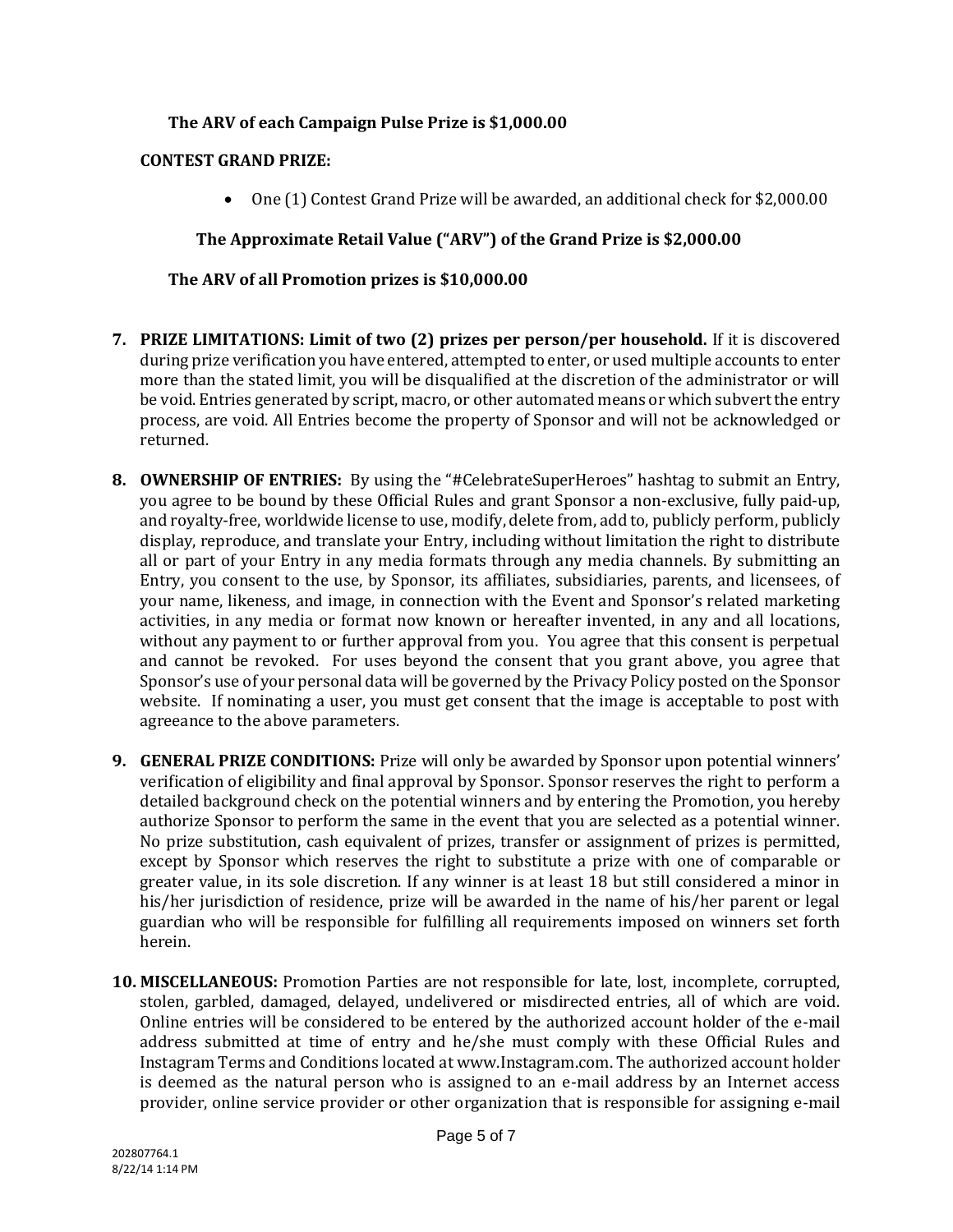# **The ARV of each Campaign Pulse Prize is \$1,000.00**

## **CONTEST GRAND PRIZE:**

• One (1) Contest Grand Prize will be awarded, an additional check for \$2,000.00

# **The Approximate Retail Value ("ARV") of the Grand Prize is \$2,000.00**

# **The ARV of all Promotion prizes is \$10,000.00**

- **7. PRIZE LIMITATIONS: Limit of two (2) prizes per person/per household.** If it is discovered during prize verification you have entered, attempted to enter, or used multiple accounts to enter more than the stated limit, you will be disqualified at the discretion of the administrator or will be void. Entries generated by script, macro, or other automated means or which subvert the entry process, are void. All Entries become the property of Sponsor and will not be acknowledged or returned.
- **8. OWNERSHIP OF ENTRIES:** By using the "#CelebrateSuperHeroes" hashtag to submit an Entry, you agree to be bound by these Official Rules and grant Sponsor a non-exclusive, fully paid-up, and royalty-free, worldwide license to use, modify, delete from, add to, publicly perform, publicly display, reproduce, and translate your Entry, including without limitation the right to distribute all or part of your Entry in any media formats through any media channels. By submitting an Entry, you consent to the use, by Sponsor, its affiliates, subsidiaries, parents, and licensees, of your name, likeness, and image, in connection with the Event and Sponsor's related marketing activities, in any media or format now known or hereafter invented, in any and all locations, without any payment to or further approval from you. You agree that this consent is perpetual and cannot be revoked. For uses beyond the consent that you grant above, you agree that Sponsor's use of your personal data will be governed by the Privacy Policy posted on the Sponsor website. If nominating a user, you must get consent that the image is acceptable to post with agreeance to the above parameters.
- **9. GENERAL PRIZE CONDITIONS:** Prize will only be awarded by Sponsor upon potential winners' verification of eligibility and final approval by Sponsor. Sponsor reserves the right to perform a detailed background check on the potential winners and by entering the Promotion, you hereby authorize Sponsor to perform the same in the event that you are selected as a potential winner. No prize substitution, cash equivalent of prizes, transfer or assignment of prizes is permitted, except by Sponsor which reserves the right to substitute a prize with one of comparable or greater value, in its sole discretion. If any winner is at least 18 but still considered a minor in his/her jurisdiction of residence, prize will be awarded in the name of his/her parent or legal guardian who will be responsible for fulfilling all requirements imposed on winners set forth herein.
- **10. MISCELLANEOUS:** Promotion Parties are not responsible for late, lost, incomplete, corrupted, stolen, garbled, damaged, delayed, undelivered or misdirected entries, all of which are void. Online entries will be considered to be entered by the authorized account holder of the e-mail address submitted at time of entry and he/she must comply with these Official Rules and Instagram Terms and Conditions located at www.Instagram.com. The authorized account holder is deemed as the natural person who is assigned to an e-mail address by an Internet access provider, online service provider or other organization that is responsible for assigning e-mail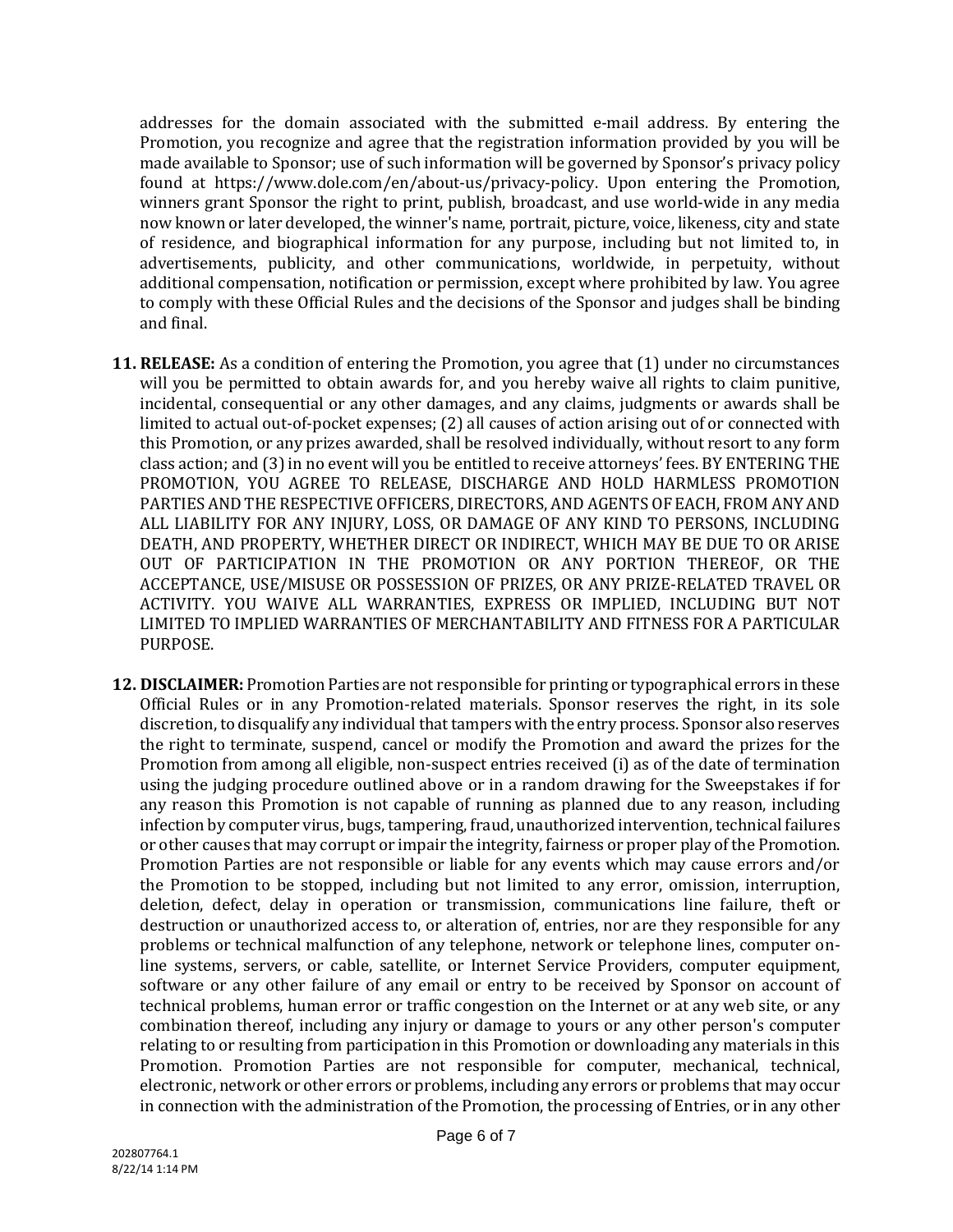addresses for the domain associated with the submitted e-mail address. By entering the Promotion, you recognize and agree that the registration information provided by you will be made available to Sponsor; use of such information will be governed by Sponsor's privacy policy found at https://www.dole.com/en/about-us/privacy-policy. Upon entering the Promotion, winners grant Sponsor the right to print, publish, broadcast, and use world-wide in any media now known or later developed, the winner's name, portrait, picture, voice, likeness, city and state of residence, and biographical information for any purpose, including but not limited to, in advertisements, publicity, and other communications, worldwide, in perpetuity, without additional compensation, notification or permission, except where prohibited by law. You agree to comply with these Official Rules and the decisions of the Sponsor and judges shall be binding and final.

- **11. RELEASE:** As a condition of entering the Promotion, you agree that (1) under no circumstances will you be permitted to obtain awards for, and you hereby waive all rights to claim punitive, incidental, consequential or any other damages, and any claims, judgments or awards shall be limited to actual out-of-pocket expenses; (2) all causes of action arising out of or connected with this Promotion, or any prizes awarded, shall be resolved individually, without resort to any form class action; and (3) in no event will you be entitled to receive attorneys' fees. BY ENTERING THE PROMOTION, YOU AGREE TO RELEASE, DISCHARGE AND HOLD HARMLESS PROMOTION PARTIES AND THE RESPECTIVE OFFICERS, DIRECTORS, AND AGENTS OF EACH, FROM ANY AND ALL LIABILITY FOR ANY INJURY, LOSS, OR DAMAGE OF ANY KIND TO PERSONS, INCLUDING DEATH, AND PROPERTY, WHETHER DIRECT OR INDIRECT, WHICH MAY BE DUE TO OR ARISE OUT OF PARTICIPATION IN THE PROMOTION OR ANY PORTION THEREOF, OR THE ACCEPTANCE, USE/MISUSE OR POSSESSION OF PRIZES, OR ANY PRIZE-RELATED TRAVEL OR ACTIVITY. YOU WAIVE ALL WARRANTIES, EXPRESS OR IMPLIED, INCLUDING BUT NOT LIMITED TO IMPLIED WARRANTIES OF MERCHANTABILITY AND FITNESS FOR A PARTICULAR PURPOSE.
- **12. DISCLAIMER:** Promotion Parties are not responsible for printing or typographical errors in these Official Rules or in any Promotion-related materials. Sponsor reserves the right, in its sole discretion, to disqualify any individual that tampers with the entry process. Sponsor also reserves the right to terminate, suspend, cancel or modify the Promotion and award the prizes for the Promotion from among all eligible, non-suspect entries received (i) as of the date of termination using the judging procedure outlined above or in a random drawing for the Sweepstakes if for any reason this Promotion is not capable of running as planned due to any reason, including infection by computer virus, bugs, tampering, fraud, unauthorized intervention, technical failures or other causes that may corrupt or impair the integrity, fairness or proper play of the Promotion. Promotion Parties are not responsible or liable for any events which may cause errors and/or the Promotion to be stopped, including but not limited to any error, omission, interruption, deletion, defect, delay in operation or transmission, communications line failure, theft or destruction or unauthorized access to, or alteration of, entries, nor are they responsible for any problems or technical malfunction of any telephone, network or telephone lines, computer online systems, servers, or cable, satellite, or Internet Service Providers, computer equipment, software or any other failure of any email or entry to be received by Sponsor on account of technical problems, human error or traffic congestion on the Internet or at any web site, or any combination thereof, including any injury or damage to yours or any other person's computer relating to or resulting from participation in this Promotion or downloading any materials in this Promotion. Promotion Parties are not responsible for computer, mechanical, technical, electronic, network or other errors or problems, including any errors or problems that may occur in connection with the administration of the Promotion, the processing of Entries, or in any other